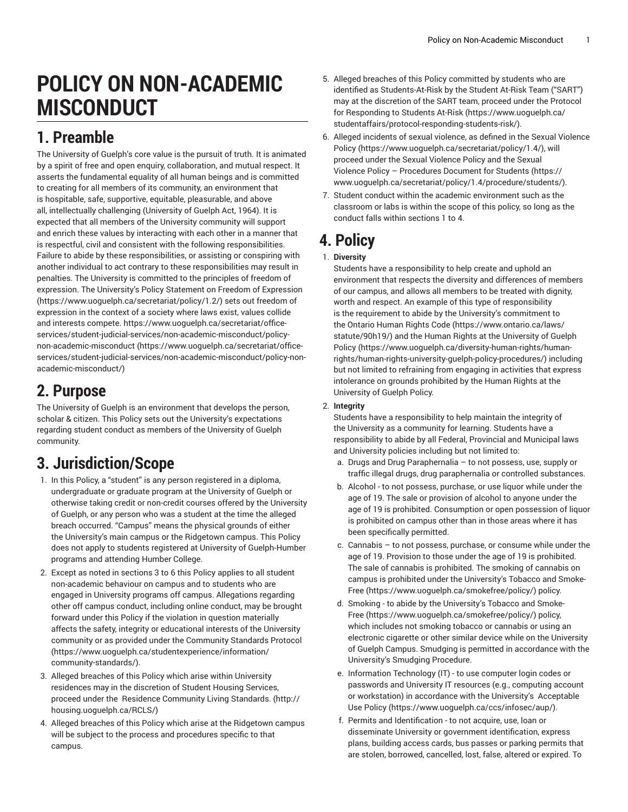# **POLICY ON NON-ACADEMIC MISCONDUCT**

### **1. Preamble**

The University of Guelph's core value is the pursuit of truth. It is animated by a spirit of free and open enquiry, collaboration, and mutual respect. It asserts the fundamental equality of all human beings and is committed to creating for all members of its community, an environment that is hospitable, safe, supportive, equitable, pleasurable, and above all, intellectually challenging (University of Guelph Act, 1964). It is expected that all members of the University community will support and enrich these values by interacting with each other in a manner that is respectful, civil and consistent with the following responsibilities. Failure to abide by these responsibilities, or assisting or conspiring with another individual to act contrary to these responsibilities may result in penalties. The University is committed to the principles of freedom of expression. The University's Policy Statement on Freedom of [Expression](����p�mC����ʏ�2�<�|�����a�t��ЫK1K�q�}) ([https://www.uoguelph.ca/secretariat/policy/1.2/](����p�mC����ʏ�2�<�|�����a�t��ЫK1K�q�})) sets out freedom of expression in the context of a society where laws exist, values collide and interests compete. [https://www.uoguelph.ca/secretariat/office](/�6=���3��H�Ct�撬G��U���U�U�;�pĿ��*xj3�<�D��`,ҕѴ��wӪ�jQ����W���1,�D$ɫ��/�
h�
��
I1��cd���K ��
��\�L� �)[services/student-judicial-services/non-academic-misconduct/policy](/�6=���3��H�Ct�撬G��U���U�U�;�pĿ��*xj3�<�D��`,ҕѴ��wӪ�jQ����W���1,�D$ɫ��/�
h�
��
I1��cd���K ��
��\�L� �)[non-academic-misconduct \(https://www.uoguelph.ca/secretariat/office](/�6=���3��H�Ct�撬G��U���U�U�;�pĿ��*xj3�<�D��`,ҕѴ��wӪ�jQ����W���1,�D$ɫ��/�
h�
��
I1��cd���K ��
��\�L� �)[services/student-judicial-services/non-academic-misconduct/policy-non](/�6=���3��H�Ct�撬G��U���U�U�;�pĿ��*xj3�<�D��`,ҕѴ��wӪ�jQ����W���1,�D$ɫ��/�
h�
��
I1��cd���K ��
��\�L� �)[academic-misconduct/](/�6=���3��H�Ct�撬G��U���U�U�;�pĿ��*xj3�<�D��`,ҕѴ��wӪ�jQ����W���1,�D$ɫ��/�
h�
��
I1��cd���K ��
��\�L� �))

### **2. Purpose**

The University of Guelph is an environment that develops the person, scholar & citizen. This Policy sets out the University's expectations regarding student conduct as members of the University of Guelph community.

## **3. Jurisdiction/Scope**

- 1. In this Policy, a "student" is any person registered in a diploma, undergraduate or graduate program at the University of Guelph or otherwise taking credit or non-credit courses offered by the University of Guelph, or any person who was a student at the time the alleged breach occurred. "Campus" means the physical grounds of either the University's main campus or the Ridgetown campus. This Policy does not apply to students registered at University of Guelph-Humber programs and attending Humber College.
- 2. Except as noted in sections 3 to 6 this Policy applies to all student non-academic behaviour on campus and to students who are engaged in University programs off campus. Allegations regarding other off campus conduct, including online conduct, may be brought forward under this Policy if the violation in question materially affects the safety, integrity or educational interests of the University community or as provided under the [Community](�$�7�c�|=�Ż��a:c�Ӹ6�����(PC�-�MLVEI"o��X(	^+�:�����j�) Standards Protocol ([https://www.uoguelph.ca/studentexperience/information/](�$�7�c�|=�Ż��a:c�Ӹ6�����(PC�-�MLVEI"o��X(	^+�:�����j�) [community-standards/](�$�7�c�|=�Ż��a:c�Ӹ6�����(PC�-�MLVEI"o��X(	^+�:�����j�)).
- 3. Alleged breaches of this Policy which arise within University residences may in the discretion of Student Housing Services, proceed under the Residence [Community](ۤ	�qYi���SJk�r�$��}���D#) Living Standards. [\(http://](ۤ	�qYi���SJk�r�$��}���D#) [housing.uoguelph.ca/RCLS/\)](ۤ	�qYi���SJk�r�$��}���D#)
- 4. Alleged breaches of this Policy which arise at the Ridgetown campus will be subject to the process and procedures specific to that campus.
- 5. Alleged breaches of this Policy committed by students who are identified as Students-At-Risk by the Student At-Risk Team ("SART") may at the discretion of the SART team, proceed under the [Protocol](�/�zh8kd�P�U� Чo��"6-x�fSD�}
�z#��L��H� j�&<�_��o_;S_�) for [Responding](�/�zh8kd�P�U� Чo��"6-x�fSD�}
�z#��L��H� j�&<�_��o_;S_�) to Students At-Risk [\(https://www.uoguelph.ca/](�/�zh8kd�P�U� Чo��"6-x�fSD�}
�z#��L��H� j�&<�_��o_;S_�) [studentaffairs/protocol-responding-students-risk/](�/�zh8kd�P�U� Чo��"6-x�fSD�}
�z#��L��H� j�&<�_��o_;S_�)).
- 6. Alleged incidents of sexual violence, as defined in the [Sexual Violence](��/�nL:=���F�v���턚]-j!s) [Policy](��/�nL:=���F�v���턚]-j!s) ([https://www.uoguelph.ca/secretariat/policy/1.4/\)](��/�nL:=���F�v���턚]-j!s), will proceed under the Sexual Violence Policy and the [Sexual](5U� }��߶,K5��
�>�] �1v"k#/ZϘi����GT�L,p��k�\����Ǖ8KN����$g) Violence Policy – [Procedures](5U� }��߶,K5��
�>�] �1v"k#/ZϘi����GT�L,p��k�\����Ǖ8KN����$g) Document for Students ([https://](5U� }��߶,K5��
�>�] �1v"k#/ZϘi����GT�L,p��k�\����Ǖ8KN����$g) [www.uoguelph.ca/secretariat/policy/1.4/procedure/students/](5U� }��߶,K5��
�>�] �1v"k#/ZϘi����GT�L,p��k�\����Ǖ8KN����$g)).
- 7. Student conduct within the academic environment such as the classroom or labs is within the scope of this policy, so long as the conduct falls within sections 1 to 4.

### **4. Policy**

#### 1. **Diversity**

Students have a responsibility to help create and uphold an environment that respects the diversity and differences of members of our campus, and allows all members to be treated with dignity, worth and respect. An example of this type of responsibility is the requirement to abide by the University's commitment to the [Ontario Human Rights Code](���5��{8hK�oo�) ([https://www.ontario.ca/laws/](���5��{8hK�oo�) [statute/90h19/](���5��{8hK�oo�)) and the Human Rights at the [University](�y)�H�
S����*%�X|�TnO�����8������M����6�|����~�$�"��
�f8���������P�Y{����f�5r�@v�l���9�q�4f�T) of Guelph [Policy](�y)�H�
S����*%�X|�TnO�����8������M����6�|����~�$�"��
�f8���������P�Y{����f�5r�@v�l���9�q�4f�T) ([https://www.uoguelph.ca/diversity-human-rights/human](�y)�H�
S����*%�X|�TnO�����8������M����6�|����~�$�"��
�f8���������P�Y{����f�5r�@v�l���9�q�4f�T)[rights/human-rights-university-guelph-policy-procedures/\)](�y)�H�
S����*%�X|�TnO�����8������M����6�|����~�$�"��
�f8���������P�Y{����f�5r�@v�l���9�q�4f�T) including but not limited to refraining from engaging in activities that express intolerance on grounds prohibited by the Human Rights at the University of Guelph Policy.

#### 2. **Integrity**

Students have a responsibility to help maintain the integrity of the University as a community for learning. Students have a responsibility to abide by all Federal, Provincial and Municipal laws and University policies including but not limited to:

- a. Drugs and Drug Paraphernalia to not possess, use, supply or traffic illegal drugs, drug paraphernalia or controlled substances.
- b. Alcohol to not possess, purchase, or use liquor while under the age of 19. The sale or provision of alcohol to anyone under the age of 19 is prohibited. Consumption or open possession of liquor is prohibited on campus other than in those areas where it has been specifically permitted.
- c. Cannabis to not possess, purchase, or consume while under the age of 19. Provision to those under the age of 19 is prohibited. The sale of cannabis is prohibited. The smoking of cannabis on campus is prohibited under the University's [Tobacco](�ɑ��P=ّV�Wn��M��r�U=����d�O���i����C�) and Smoke-[Free](�ɑ��P=ّV�Wn��M��r�U=����d�O���i����C�) ([https://www.uoguelph.ca/smokefree/policy/](�ɑ��P=ّV�Wn��M��r�U=����d�O���i����C�)) policy.
- d. Smoking to abide by the University's [Tobacco](�ɑ��P=ّV�Wn��M��r�U=����d�O���i����C�) and Smoke-[Free](�ɑ��P=ّV�Wn��M��r�U=����d�O���i����C�) ([https://www.uoguelph.ca/smokefree/policy/](�ɑ��P=ّV�Wn��M��r�U=����d�O���i����C�)) policy, which includes not smoking tobacco or cannabis or using an electronic cigarette or other similar device while on the University of Guelph Campus. Smudging is permitted in accordance with the University's Smudging Procedure.
- e. Information Technology (IT) to use computer login codes or passwords and University IT resources (e.g., computing account or workstation) in accordance with the University's [Acceptable](
�^� �Fbר�ʒ}P�f0�2]��B(�.�)�Nu΂c) Use [Policy](
�^� �Fbר�ʒ}P�f0�2]��B(�.�)�Nu΂c) ([https://www.uoguelph.ca/ccs/infosec/aup/](
�^� �Fbר�ʒ}P�f0�2]��B(�.�)�Nu΂c)).
- f. Permits and Identification to not acquire, use, loan or disseminate University or government identification, express plans, building access cards, bus passes or parking permits that are stolen, borrowed, cancelled, lost, false, altered or expired. To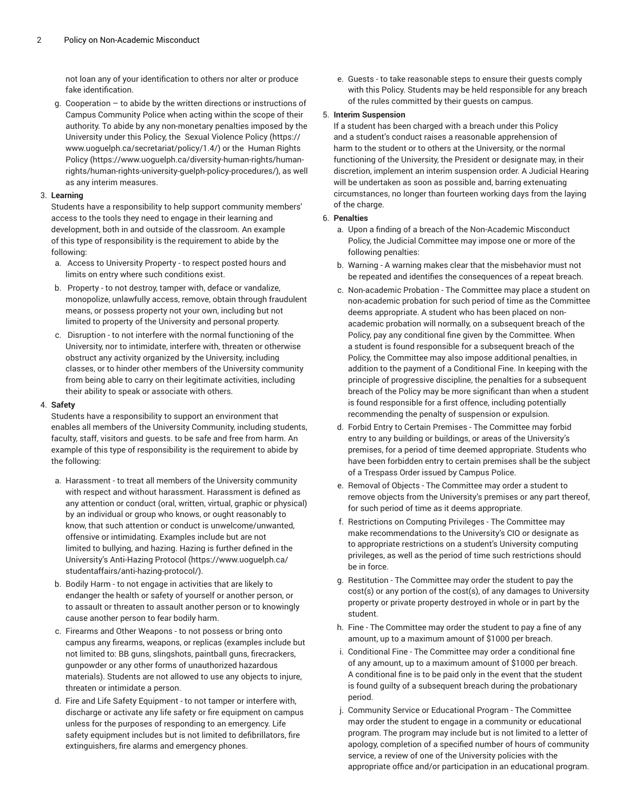not loan any of your identification to others nor alter or produce fake identification.

g. Cooperation – to abide by the written directions or instructions of Campus Community Police when acting within the scope of their authority. To abide by any non-monetary penalties imposed by the University under this Policy, the Sexual [Violence](��/�nL:=���F�v���턚]-j!s) Policy ([https://](��/�nL:=���F�v���턚]-j!s) [www.uoguelph.ca/secretariat/policy/1.4/](��/�nL:=���F�v���턚]-j!s)) or the [Human Rights](�y)�H�
S����*%�X|�TnO�����8������M����6�|����~�$�"��
�f8���������P�Y{����f�5r�@v�l���9�q�4f�T) [Policy](�y)�H�
S����*%�X|�TnO�����8������M����6�|����~�$�"��
�f8���������P�Y{����f�5r�@v�l���9�q�4f�T) ([https://www.uoguelph.ca/diversity-human-rights/human](�y)�H�
S����*%�X|�TnO�����8������M����6�|����~�$�"��
�f8���������P�Y{����f�5r�@v�l���9�q�4f�T)[rights/human-rights-university-guelph-policy-procedures/](�y)�H�
S����*%�X|�TnO�����8������M����6�|����~�$�"��
�f8���������P�Y{����f�5r�@v�l���9�q�4f�T)), as well as any interim measures.

#### 3. **Learning**

Students have a responsibility to help support community members' access to the tools they need to engage in their learning and development, both in and outside of the classroom. An example of this type of responsibility is the requirement to abide by the following:

- a. Access to University Property to respect posted hours and limits on entry where such conditions exist.
- b. Property to not destroy, tamper with, deface or vandalize, monopolize, unlawfully access, remove, obtain through fraudulent means, or possess property not your own, including but not limited to property of the University and personal property.
- c. Disruption to not interfere with the normal functioning of the University, nor to intimidate, interfere with, threaten or otherwise obstruct any activity organized by the University, including classes, or to hinder other members of the University community from being able to carry on their legitimate activities, including their ability to speak or associate with others.

#### 4. **Safety**

Students have a responsibility to support an environment that enables all members of the University Community, including students, faculty, staff, visitors and guests. to be safe and free from harm. An example of this type of responsibility is the requirement to abide by the following:

- a. Harassment to treat all members of the University community with respect and without harassment. Harassment is defined as any attention or conduct (oral, written, virtual, graphic or physical) by an individual or group who knows, or ought reasonably to know, that such attention or conduct is unwelcome/unwanted, offensive or intimidating. Examples include but are not limited to bullying, and hazing. Hazing is further defined in the University's [Anti-Hazing](\��٬������I𘷿�:��6�y�s��(Mp/w����oĎ�>i�ߐ�3� �(�) Protocol [\(https://www.uoguelph.ca/](\��٬������I𘷿�:��6�y�s��(Mp/w����oĎ�>i�ߐ�3� �(�) [studentaffairs/anti-hazing-protocol/](\��٬������I𘷿�:��6�y�s��(Mp/w����oĎ�>i�ߐ�3� �(�)).
- b. Bodily Harm to not engage in activities that are likely to endanger the health or safety of yourself or another person, or to assault or threaten to assault another person or to knowingly cause another person to fear bodily harm.
- c. Firearms and Other Weapons to not possess or bring onto campus any firearms, weapons, or replicas (examples include but not limited to: BB guns, slingshots, paintball guns, firecrackers, gunpowder or any other forms of unauthorized hazardous materials). Students are not allowed to use any objects to injure, threaten or intimidate a person.
- d. Fire and Life Safety Equipment to not tamper or interfere with, discharge or activate any life safety or fire equipment on campus unless for the purposes of responding to an emergency. Life safety equipment includes but is not limited to defibrillators, fire extinguishers, fire alarms and emergency phones.

e. Guests - to take reasonable steps to ensure their guests comply with this Policy. Students may be held responsible for any breach of the rules committed by their guests on campus.

#### 5. **Interim Suspension**

If a student has been charged with a breach under this Policy and a student's conduct raises a reasonable apprehension of harm to the student or to others at the University, or the normal functioning of the University, the President or designate may, in their discretion, implement an interim suspension order. A Judicial Hearing will be undertaken as soon as possible and, barring extenuating circumstances, no longer than fourteen working days from the laying of the charge.

#### 6. **Penalties**

- a. Upon a finding of a breach of the Non-Academic Misconduct Policy, the Judicial Committee may impose one or more of the following penalties:
- b. Warning A warning makes clear that the misbehavior must not be repeated and identifies the consequences of a repeat breach.
- c. Non-academic Probation The Committee may place a student on non-academic probation for such period of time as the Committee deems appropriate. A student who has been placed on nonacademic probation will normally, on a subsequent breach of the Policy, pay any conditional fine given by the Committee. When a student is found responsible for a subsequent breach of the Policy, the Committee may also impose additional penalties, in addition to the payment of a Conditional Fine. In keeping with the principle of progressive discipline, the penalties for a subsequent breach of the Policy may be more significant than when a student is found responsible for a first offence, including potentially recommending the penalty of suspension or expulsion.
- d. Forbid Entry to Certain Premises The Committee may forbid entry to any building or buildings, or areas of the University's premises, for a period of time deemed appropriate. Students who have been forbidden entry to certain premises shall be the subject of a Trespass Order issued by Campus Police.
- e. Removal of Objects The Committee may order a student to remove objects from the University's premises or any part thereof, for such period of time as it deems appropriate.
- f. Restrictions on Computing Privileges The Committee may make recommendations to the University's CIO or designate as to appropriate restrictions on a student's University computing privileges, as well as the period of time such restrictions should be in force.
- g. Restitution The Committee may order the student to pay the cost(s) or any portion of the cost(s), of any damages to University property or private property destroyed in whole or in part by the student.
- h. Fine The Committee may order the student to pay a fine of any amount, up to a maximum amount of \$1000 per breach.
- i. Conditional Fine The Committee may order a conditional fine of any amount, up to a maximum amount of \$1000 per breach. A conditional fine is to be paid only in the event that the student is found guilty of a subsequent breach during the probationary period.
- j. Community Service or Educational Program The Committee may order the student to engage in a community or educational program. The program may include but is not limited to a letter of apology, completion of a specified number of hours of community service, a review of one of the University policies with the appropriate office and/or participation in an educational program.